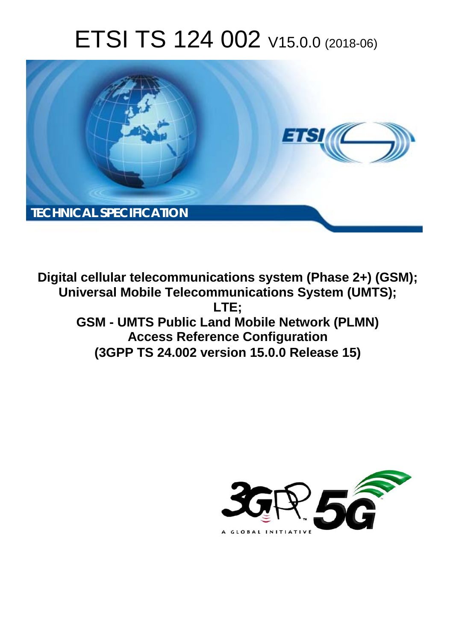# ETSI TS 124 002 V15.0.0 (2018-06)



**Digital cellular telecommunications system (Phase 2+) (GSM); Universal Mobile Telecommunications System (UMTS); LTE; GSM - UMTS Public Land Mobile Network (PLMN) Access Reference Configuration (3GPP TS 24.002 version 15.0.0 Release 15)** 

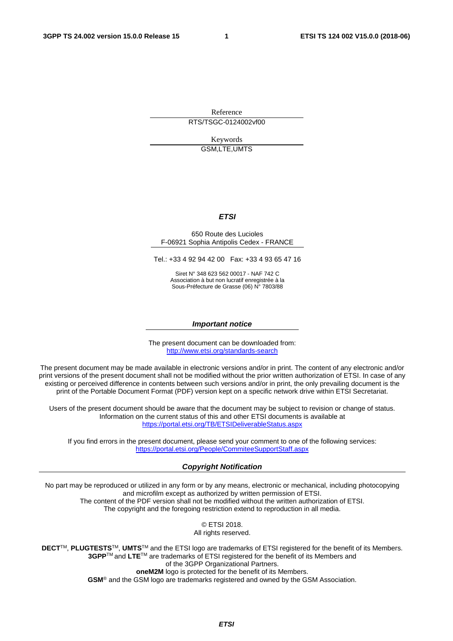Reference

RTS/TSGC-0124002vf00

Keywords GSM,LTE,UMTS

#### *ETSI*

#### 650 Route des Lucioles F-06921 Sophia Antipolis Cedex - FRANCE

Tel.: +33 4 92 94 42 00 Fax: +33 4 93 65 47 16

Siret N° 348 623 562 00017 - NAF 742 C Association à but non lucratif enregistrée à la Sous-Préfecture de Grasse (06) N° 7803/88

#### *Important notice*

The present document can be downloaded from: <http://www.etsi.org/standards-search>

The present document may be made available in electronic versions and/or in print. The content of any electronic and/or print versions of the present document shall not be modified without the prior written authorization of ETSI. In case of any existing or perceived difference in contents between such versions and/or in print, the only prevailing document is the print of the Portable Document Format (PDF) version kept on a specific network drive within ETSI Secretariat.

Users of the present document should be aware that the document may be subject to revision or change of status. Information on the current status of this and other ETSI documents is available at <https://portal.etsi.org/TB/ETSIDeliverableStatus.aspx>

If you find errors in the present document, please send your comment to one of the following services: <https://portal.etsi.org/People/CommiteeSupportStaff.aspx>

#### *Copyright Notification*

No part may be reproduced or utilized in any form or by any means, electronic or mechanical, including photocopying and microfilm except as authorized by written permission of ETSI. The content of the PDF version shall not be modified without the written authorization of ETSI. The copyright and the foregoing restriction extend to reproduction in all media.

> © ETSI 2018. All rights reserved.

**DECT**TM, **PLUGTESTS**TM, **UMTS**TM and the ETSI logo are trademarks of ETSI registered for the benefit of its Members. **3GPP**TM and **LTE**TM are trademarks of ETSI registered for the benefit of its Members and of the 3GPP Organizational Partners. **oneM2M** logo is protected for the benefit of its Members.

**GSM**® and the GSM logo are trademarks registered and owned by the GSM Association.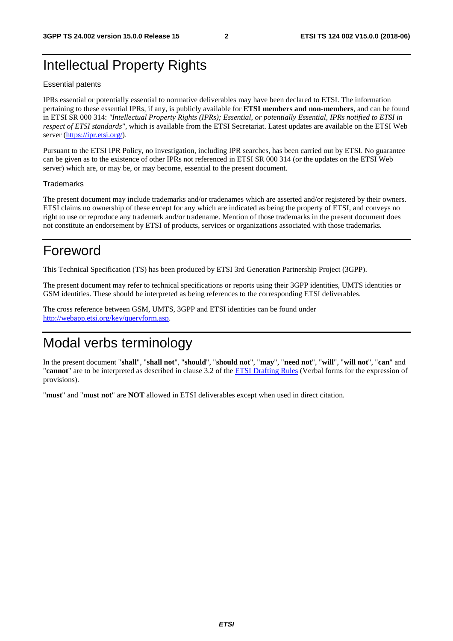### Intellectual Property Rights

#### Essential patents

IPRs essential or potentially essential to normative deliverables may have been declared to ETSI. The information pertaining to these essential IPRs, if any, is publicly available for **ETSI members and non-members**, and can be found in ETSI SR 000 314: *"Intellectual Property Rights (IPRs); Essential, or potentially Essential, IPRs notified to ETSI in respect of ETSI standards"*, which is available from the ETSI Secretariat. Latest updates are available on the ETSI Web server ([https://ipr.etsi.org/\)](https://ipr.etsi.org/).

Pursuant to the ETSI IPR Policy, no investigation, including IPR searches, has been carried out by ETSI. No guarantee can be given as to the existence of other IPRs not referenced in ETSI SR 000 314 (or the updates on the ETSI Web server) which are, or may be, or may become, essential to the present document.

#### **Trademarks**

The present document may include trademarks and/or tradenames which are asserted and/or registered by their owners. ETSI claims no ownership of these except for any which are indicated as being the property of ETSI, and conveys no right to use or reproduce any trademark and/or tradename. Mention of those trademarks in the present document does not constitute an endorsement by ETSI of products, services or organizations associated with those trademarks.

### Foreword

This Technical Specification (TS) has been produced by ETSI 3rd Generation Partnership Project (3GPP).

The present document may refer to technical specifications or reports using their 3GPP identities, UMTS identities or GSM identities. These should be interpreted as being references to the corresponding ETSI deliverables.

The cross reference between GSM, UMTS, 3GPP and ETSI identities can be found under [http://webapp.etsi.org/key/queryform.asp.](http://webapp.etsi.org/key/queryform.asp)

# Modal verbs terminology

In the present document "**shall**", "**shall not**", "**should**", "**should not**", "**may**", "**need not**", "**will**", "**will not**", "**can**" and "**cannot**" are to be interpreted as described in clause 3.2 of the [ETSI Drafting Rules](https://portal.etsi.org/Services/editHelp!/Howtostart/ETSIDraftingRules.aspx) (Verbal forms for the expression of provisions).

"**must**" and "**must not**" are **NOT** allowed in ETSI deliverables except when used in direct citation.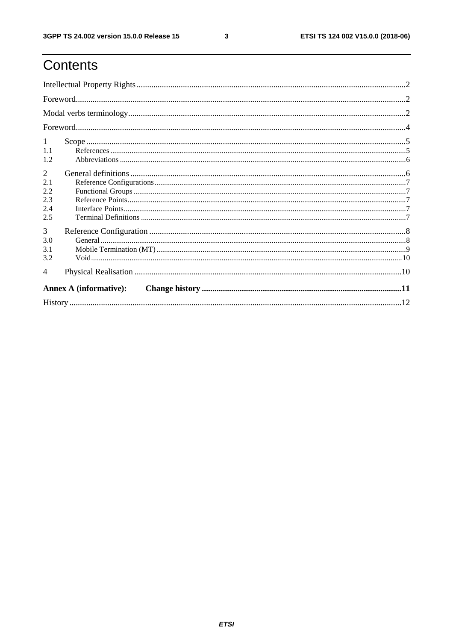$\mathbf{3}$ 

# Contents

| 1<br>1.1<br>1.2               |  |  |  |  |  |
|-------------------------------|--|--|--|--|--|
| 2                             |  |  |  |  |  |
| 2.1                           |  |  |  |  |  |
| 2.2<br>2.3                    |  |  |  |  |  |
| 2.4                           |  |  |  |  |  |
| 2.5                           |  |  |  |  |  |
| 3                             |  |  |  |  |  |
| 3.0                           |  |  |  |  |  |
| 3.1                           |  |  |  |  |  |
| 3.2                           |  |  |  |  |  |
| $\overline{\mathcal{A}}$      |  |  |  |  |  |
| <b>Annex A (informative):</b> |  |  |  |  |  |
|                               |  |  |  |  |  |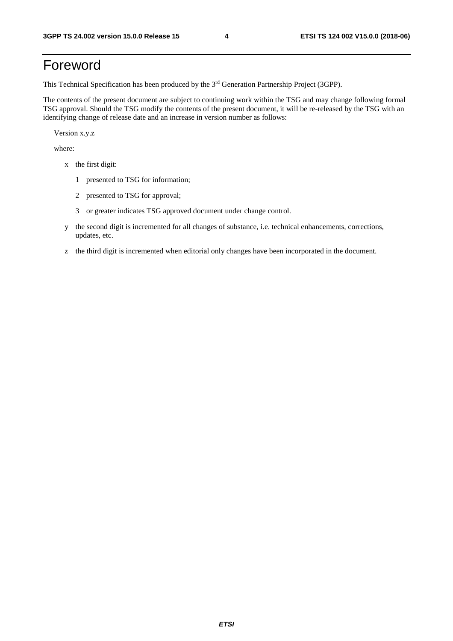# Foreword

This Technical Specification has been produced by the 3rd Generation Partnership Project (3GPP).

The contents of the present document are subject to continuing work within the TSG and may change following formal TSG approval. Should the TSG modify the contents of the present document, it will be re-released by the TSG with an identifying change of release date and an increase in version number as follows:

Version x.y.z

where:

- x the first digit:
	- 1 presented to TSG for information;
	- 2 presented to TSG for approval;
	- 3 or greater indicates TSG approved document under change control.
- y the second digit is incremented for all changes of substance, i.e. technical enhancements, corrections, updates, etc.
- z the third digit is incremented when editorial only changes have been incorporated in the document.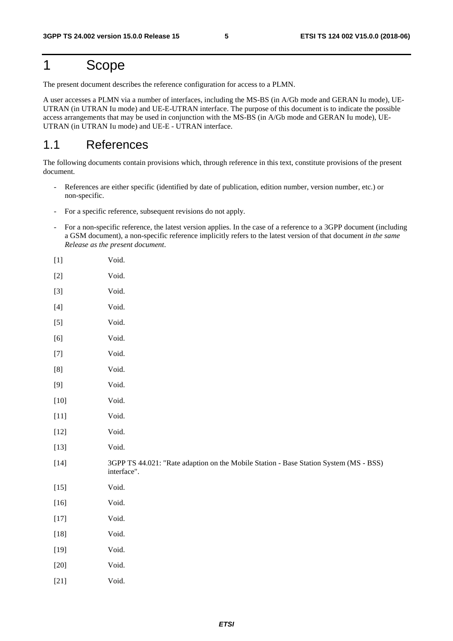# 1 Scope

The present document describes the reference configuration for access to a PLMN.

A user accesses a PLMN via a number of interfaces, including the MS-BS (in A/Gb mode and GERAN Iu mode), UE-UTRAN (in UTRAN Iu mode) and UE-E-UTRAN interface. The purpose of this document is to indicate the possible access arrangements that may be used in conjunction with the MS-BS (in A/Gb mode and GERAN Iu mode), UE-UTRAN (in UTRAN Iu mode) and UE-E - UTRAN interface.

### 1.1 References

The following documents contain provisions which, through reference in this text, constitute provisions of the present document.

- References are either specific (identified by date of publication, edition number, version number, etc.) or non-specific.
- For a specific reference, subsequent revisions do not apply.
- For a non-specific reference, the latest version applies. In the case of a reference to a 3GPP document (including a GSM document), a non-specific reference implicitly refers to the latest version of that document *in the same Release as the present document*.

| $[1] % \centering \includegraphics[width=0.9\columnwidth]{figures/fig_10.pdf} \caption{The average number of times of the estimators in the left and right. The blue number of times in the right, the red number of times in the right, the red number of times in the right, the red number of times in the right, the red number of times in the right, the red number of times in the right, the red number of times in the right, the red number of times in the right, the red number of times in the right, the red number of times in the right, the red number of times in the right, the red number of times in the right, the red number of times in the right, the red number of times in the right, the red number of times in the right, the red number of times in the right, the red number of times in the right, the red number of times in the right, the red number of times in the right, the red number$ | Void.                                                                                                |
|--------------------------------------------------------------------------------------------------------------------------------------------------------------------------------------------------------------------------------------------------------------------------------------------------------------------------------------------------------------------------------------------------------------------------------------------------------------------------------------------------------------------------------------------------------------------------------------------------------------------------------------------------------------------------------------------------------------------------------------------------------------------------------------------------------------------------------------------------------------------------------------------------------------------------------|------------------------------------------------------------------------------------------------------|
|                                                                                                                                                                                                                                                                                                                                                                                                                                                                                                                                                                                                                                                                                                                                                                                                                                                                                                                                | Void.                                                                                                |
| $[3]$                                                                                                                                                                                                                                                                                                                                                                                                                                                                                                                                                                                                                                                                                                                                                                                                                                                                                                                          | Void.                                                                                                |
| $[4] \quad$                                                                                                                                                                                                                                                                                                                                                                                                                                                                                                                                                                                                                                                                                                                                                                                                                                                                                                                    | Void.                                                                                                |
| $[5]$                                                                                                                                                                                                                                                                                                                                                                                                                                                                                                                                                                                                                                                                                                                                                                                                                                                                                                                          | Void.                                                                                                |
| $[6]$                                                                                                                                                                                                                                                                                                                                                                                                                                                                                                                                                                                                                                                                                                                                                                                                                                                                                                                          | Void.                                                                                                |
| $\left[ 7\right]$                                                                                                                                                                                                                                                                                                                                                                                                                                                                                                                                                                                                                                                                                                                                                                                                                                                                                                              | Void.                                                                                                |
| $\left[ 8\right]$                                                                                                                                                                                                                                                                                                                                                                                                                                                                                                                                                                                                                                                                                                                                                                                                                                                                                                              | Void.                                                                                                |
| $[9]$                                                                                                                                                                                                                                                                                                                                                                                                                                                                                                                                                                                                                                                                                                                                                                                                                                                                                                                          | Void.                                                                                                |
| $\left[10\right]$                                                                                                                                                                                                                                                                                                                                                                                                                                                                                                                                                                                                                                                                                                                                                                                                                                                                                                              | Void.                                                                                                |
| $[11]$                                                                                                                                                                                                                                                                                                                                                                                                                                                                                                                                                                                                                                                                                                                                                                                                                                                                                                                         | Void.                                                                                                |
| $[12]$                                                                                                                                                                                                                                                                                                                                                                                                                                                                                                                                                                                                                                                                                                                                                                                                                                                                                                                         | Void.                                                                                                |
| $[13]$                                                                                                                                                                                                                                                                                                                                                                                                                                                                                                                                                                                                                                                                                                                                                                                                                                                                                                                         | Void.                                                                                                |
| $[14]$                                                                                                                                                                                                                                                                                                                                                                                                                                                                                                                                                                                                                                                                                                                                                                                                                                                                                                                         | 3GPP TS 44.021: "Rate adaption on the Mobile Station - Base Station System (MS - BSS)<br>interface". |
| $[15]$                                                                                                                                                                                                                                                                                                                                                                                                                                                                                                                                                                                                                                                                                                                                                                                                                                                                                                                         | Void.                                                                                                |
| $[16]$                                                                                                                                                                                                                                                                                                                                                                                                                                                                                                                                                                                                                                                                                                                                                                                                                                                                                                                         | Void.                                                                                                |
| $[17]$                                                                                                                                                                                                                                                                                                                                                                                                                                                                                                                                                                                                                                                                                                                                                                                                                                                                                                                         | Void.                                                                                                |
| $\left[ 18\right]$                                                                                                                                                                                                                                                                                                                                                                                                                                                                                                                                                                                                                                                                                                                                                                                                                                                                                                             | Void.                                                                                                |
| $[19]$                                                                                                                                                                                                                                                                                                                                                                                                                                                                                                                                                                                                                                                                                                                                                                                                                                                                                                                         | Void.                                                                                                |
| $[20]$                                                                                                                                                                                                                                                                                                                                                                                                                                                                                                                                                                                                                                                                                                                                                                                                                                                                                                                         | Void.                                                                                                |
| $[21]$                                                                                                                                                                                                                                                                                                                                                                                                                                                                                                                                                                                                                                                                                                                                                                                                                                                                                                                         | Void.                                                                                                |
|                                                                                                                                                                                                                                                                                                                                                                                                                                                                                                                                                                                                                                                                                                                                                                                                                                                                                                                                |                                                                                                      |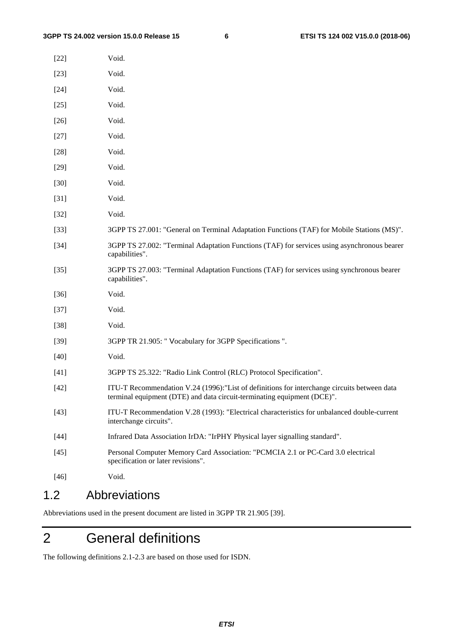| Void.                                                                                                                                                                   |
|-------------------------------------------------------------------------------------------------------------------------------------------------------------------------|
| Void.                                                                                                                                                                   |
| Void.                                                                                                                                                                   |
| Void.                                                                                                                                                                   |
| Void.                                                                                                                                                                   |
| Void.                                                                                                                                                                   |
| Void.                                                                                                                                                                   |
| Void.                                                                                                                                                                   |
| Void.                                                                                                                                                                   |
| Void.                                                                                                                                                                   |
| Void.                                                                                                                                                                   |
| 3GPP TS 27.001: "General on Terminal Adaptation Functions (TAF) for Mobile Stations (MS)".                                                                              |
| 3GPP TS 27.002: "Terminal Adaptation Functions (TAF) for services using asynchronous bearer<br>capabilities".                                                           |
| 3GPP TS 27.003: "Terminal Adaptation Functions (TAF) for services using synchronous bearer<br>capabilities".                                                            |
| Void.                                                                                                                                                                   |
| Void.                                                                                                                                                                   |
| Void.                                                                                                                                                                   |
| 3GPP TR 21.905: " Vocabulary for 3GPP Specifications ".                                                                                                                 |
| Void.                                                                                                                                                                   |
| 3GPP TS 25.322: "Radio Link Control (RLC) Protocol Specification".                                                                                                      |
| ITU-T Recommendation V.24 (1996): "List of definitions for interchange circuits between data<br>terminal equipment (DTE) and data circuit-terminating equipment (DCE)". |
| ITU-T Recommendation V.28 (1993): "Electrical characteristics for unbalanced double-current<br>interchange circuits".                                                   |
| Infrared Data Association IrDA: "IrPHY Physical layer signalling standard".                                                                                             |
| Personal Computer Memory Card Association: "PCMCIA 2.1 or PC-Card 3.0 electrical<br>specification or later revisions".                                                  |
| Void.                                                                                                                                                                   |
|                                                                                                                                                                         |

### 1.2 Abbreviations

Abbreviations used in the present document are listed in 3GPP TR 21.905 [39].

# 2 General definitions

The following definitions 2.1-2.3 are based on those used for ISDN.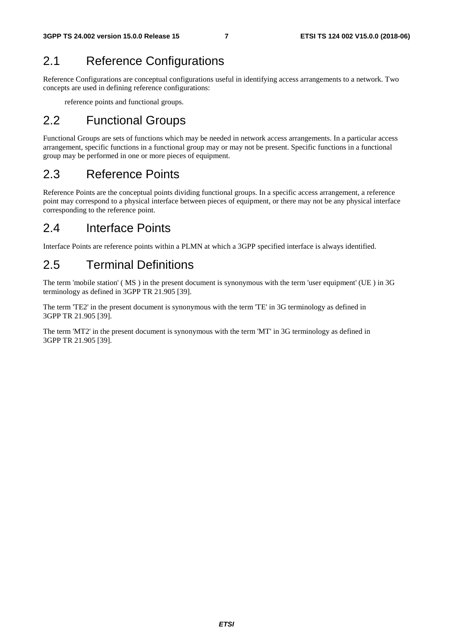### 2.1 Reference Configurations

Reference Configurations are conceptual configurations useful in identifying access arrangements to a network. Two concepts are used in defining reference configurations:

reference points and functional groups.

### 2.2 Functional Groups

Functional Groups are sets of functions which may be needed in network access arrangements. In a particular access arrangement, specific functions in a functional group may or may not be present. Specific functions in a functional group may be performed in one or more pieces of equipment.

### 2.3 Reference Points

Reference Points are the conceptual points dividing functional groups. In a specific access arrangement, a reference point may correspond to a physical interface between pieces of equipment, or there may not be any physical interface corresponding to the reference point.

### 2.4 Interface Points

Interface Points are reference points within a PLMN at which a 3GPP specified interface is always identified.

### 2.5 Terminal Definitions

The term 'mobile station' ( MS ) in the present document is synonymous with the term 'user equipment' (UE ) in 3G terminology as defined in 3GPP TR 21.905 [39].

The term 'TE2' in the present document is synonymous with the term 'TE' in 3G terminology as defined in 3GPP TR 21.905 [39].

The term 'MT2' in the present document is synonymous with the term 'MT' in 3G terminology as defined in 3GPP TR 21.905 [39].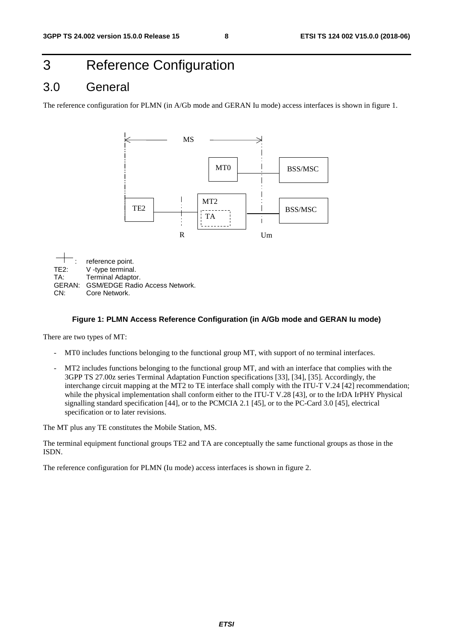# 3 Reference Configuration

#### 3.0 General

The reference configuration for PLMN (in A/Gb mode and GERAN Iu mode) access interfaces is shown in figure 1.



#### **Figure 1: PLMN Access Reference Configuration (in A/Gb mode and GERAN Iu mode)**

There are two types of MT:

- MT0 includes functions belonging to the functional group MT, with support of no terminal interfaces.
- MT2 includes functions belonging to the functional group MT, and with an interface that complies with the 3GPP TS 27.00z series Terminal Adaptation Function specifications [33], [34], [35]. Accordingly, the interchange circuit mapping at the MT2 to TE interface shall comply with the ITU-T V.24 [42] recommendation; while the physical implementation shall conform either to the ITU-T V.28 [43], or to the IrDA IrPHY Physical signalling standard specification [44], or to the PCMCIA 2.1 [45], or to the PC-Card 3.0 [45], electrical specification or to later revisions.

The MT plus any TE constitutes the Mobile Station, MS.

The terminal equipment functional groups TE2 and TA are conceptually the same functional groups as those in the ISDN.

The reference configuration for PLMN (Iu mode) access interfaces is shown in figure 2.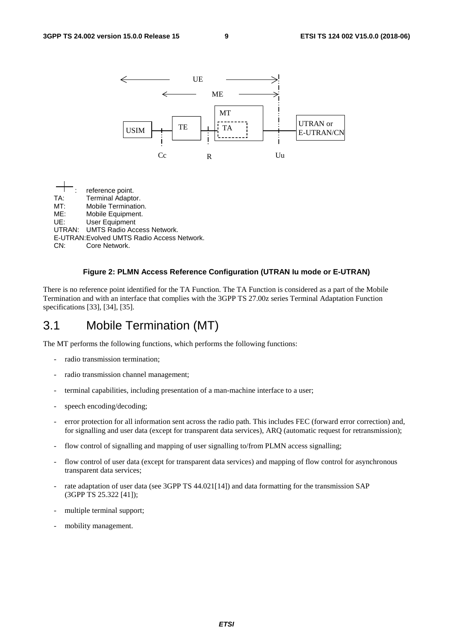

#### **Figure 2: PLMN Access Reference Configuration (UTRAN Iu mode or E-UTRAN)**

There is no reference point identified for the TA Function. The TA Function is considered as a part of the Mobile Termination and with an interface that complies with the 3GPP TS 27.00z series Terminal Adaptation Function specifications [33], [34], [35].

#### 3.1 Mobile Termination (MT)

The MT performs the following functions, which performs the following functions:

- radio transmission termination:
- radio transmission channel management;
- terminal capabilities, including presentation of a man-machine interface to a user;
- speech encoding/decoding;
- error protection for all information sent across the radio path. This includes FEC (forward error correction) and, for signalling and user data (except for transparent data services), ARQ (automatic request for retransmission);
- flow control of signalling and mapping of user signalling to/from PLMN access signalling;
- flow control of user data (except for transparent data services) and mapping of flow control for asynchronous transparent data services;
- rate adaptation of user data (see 3GPP TS 44.021[14]) and data formatting for the transmission SAP (3GPP TS 25.322 [41]);
- multiple terminal support;
- mobility management.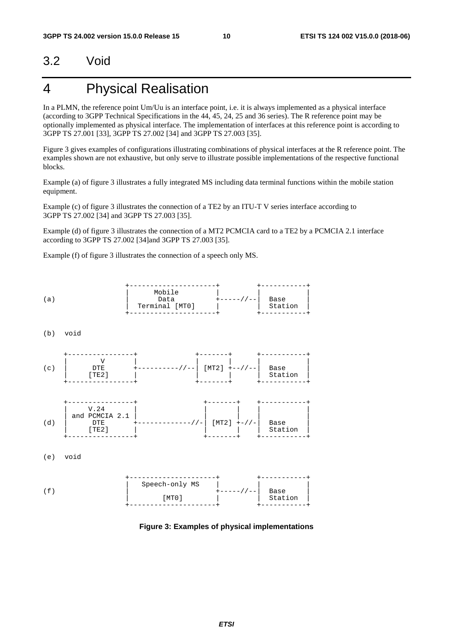### 3.2 Void

# 4 Physical Realisation

In a PLMN, the reference point Um/Uu is an interface point, i.e. it is always implemented as a physical interface (according to 3GPP Technical Specifications in the 44, 45, 24, 25 and 36 series). The R reference point may be optionally implemented as physical interface. The implementation of interfaces at this reference point is according to 3GPP TS 27.001 [33], 3GPP TS 27.002 [34] and 3GPP TS 27.003 [35].

Figure 3 gives examples of configurations illustrating combinations of physical interfaces at the R reference point. The examples shown are not exhaustive, but only serve to illustrate possible implementations of the respective functional blocks.

Example (a) of figure 3 illustrates a fully integrated MS including data terminal functions within the mobile station equipment.

Example (c) of figure 3 illustrates the connection of a TE2 by an ITU-T V series interface according to 3GPP TS 27.002 [34] and 3GPP TS 27.003 [35].

Example (d) of figure 3 illustrates the connection of a MT2 PCMCIA card to a TE2 by a PCMCIA 2.1 interface according to 3GPP TS 27.002 [34]and 3GPP TS 27.003 [35].

Example (f) of figure 3 illustrates the connection of a speech only MS.



**Figure 3: Examples of physical implementations**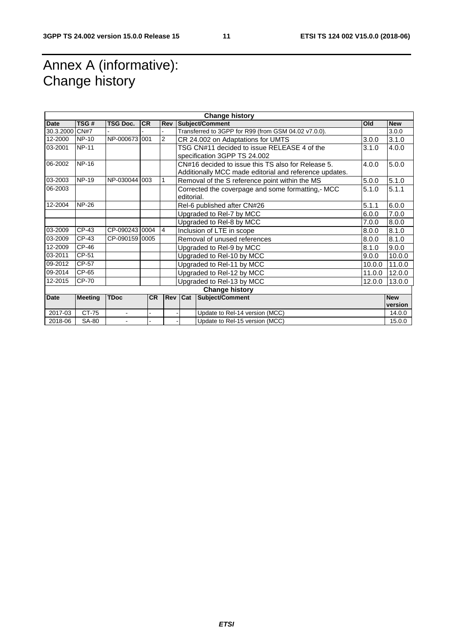# Annex A (informative): Change history

|                       | <b>Change history</b> |                 |           |                |                                            |                                                         |        |            |  |
|-----------------------|-----------------------|-----------------|-----------|----------------|--------------------------------------------|---------------------------------------------------------|--------|------------|--|
| Date                  | TSG#                  | <b>TSG Doc.</b> | <b>CR</b> | Rev            |                                            | Subject/Comment                                         | Old    | <b>New</b> |  |
| 30.3.2000             | CN#7                  |                 |           |                |                                            | Transferred to 3GPP for R99 (from GSM 04.02 v7.0.0).    |        | 3.0.0      |  |
| 12-2000               | <b>NP-10</b>          | NP-000673 001   |           | $\overline{2}$ | CR 24.002 on Adaptations for UMTS<br>3.0.0 |                                                         |        | 3.1.0      |  |
| 03-2001               | <b>NP-11</b>          |                 |           |                |                                            | TSG CN#11 decided to issue RELEASE 4 of the             | 3.1.0  | 4.0.0      |  |
|                       |                       |                 |           |                |                                            | specification 3GPP TS 24.002                            |        |            |  |
| 06-2002               | <b>NP-16</b>          |                 |           |                |                                            | CN#16 decided to issue this TS also for Release 5.      | 4.0.0  | 5.0.0      |  |
|                       |                       |                 |           |                |                                            | Additionally MCC made editorial and reference updates.  |        |            |  |
| 03-2003               | $NP-19$               | NP-030044 003   |           | 1              |                                            | Removal of the S reference point within the MS<br>5.0.0 |        |            |  |
| 06-2003               |                       |                 |           |                |                                            | Corrected the coverpage and some formatting, MCC        | 5.1.0  | 5.1.1      |  |
|                       |                       |                 |           |                | editorial.                                 |                                                         |        |            |  |
| 12-2004               | <b>NP-26</b>          |                 |           |                |                                            | Rel-6 published after CN#26                             | 5.1.1  | 6.0.0      |  |
|                       |                       |                 |           |                |                                            | Upgraded to Rel-7 by MCC                                | 6.0.0  | 7.0.0      |  |
|                       |                       |                 |           |                |                                            | Upgraded to Rel-8 by MCC<br>7.0.0<br>8.0.0              |        |            |  |
| 03-2009               | CP-43                 | CP-090243 0004  |           | $\overline{4}$ | Inclusion of LTE in scope<br>8.0.0         |                                                         |        | 8.1.0      |  |
| 03-2009               | CP-43                 | CP-090159 0005  |           |                | Removal of unused references<br>8.0.0      |                                                         |        | 8.1.0      |  |
| 12-2009               | CP-46                 |                 |           |                | Upgraded to Rel-9 by MCC<br>8.1.0          |                                                         |        | 9.0.0      |  |
| 03-2011               | CP-51                 |                 |           |                | Upgraded to Rel-10 by MCC<br>9.0.0         |                                                         |        | 10.0.0     |  |
| 09-2012               | CP-57                 |                 |           |                | Upgraded to Rel-11 by MCC<br>10.0.0        |                                                         |        | 11.0.0     |  |
| 09-2014               | CP-65                 |                 |           |                | Upgraded to Rel-12 by MCC<br>11.0.0        |                                                         |        | 12.0.0     |  |
| 12-2015               | CP-70                 |                 |           |                |                                            | Upgraded to Rel-13 by MCC                               | 12.0.0 | 13.0.0     |  |
| <b>Change history</b> |                       |                 |           |                |                                            |                                                         |        |            |  |
| <b>Date</b>           | <b>Meeting</b>        | <b>TDoc</b>     | <b>CR</b> |                | Rev Cat                                    | Subject/Comment                                         |        | <b>New</b> |  |
|                       |                       |                 |           |                |                                            |                                                         |        | version    |  |
| 2017-03               | CT-75                 | $\blacksquare$  |           |                |                                            | Update to Rel-14 version (MCC)                          |        | 14.0.0     |  |
| 2018-06               | SA-80                 |                 |           |                |                                            | Update to Rel-15 version (MCC)                          |        | 15.0.0     |  |